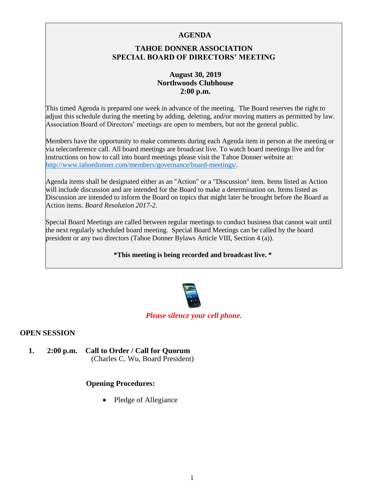### **AGENDA**

# **TAHOE DONNER ASSOCIATION SPECIAL BOARD OF DIRECTORS' MEETING**

### **August 30, 2019 Northwoods Clubhouse 2:00 p.m.**

This timed Agenda is prepared one week in advance of the meeting. The Board reserves the right to adjust this schedule during the meeting by adding, deleting, and/or moving matters as permitted by law. Association Board of Directors' meetings are open to members, but not the general public.

Members have the opportunity to make comments during each Agenda item in person at the meeting or via teleconference call. All board meetings are broadcast live. To watch board meetings live and for instructions on how to call into board meetings please visit the Tahoe Donner website at: [http://www.tahoedonner.com/members/governance/board-meetings/.](http://www.tahoedonner.com/members/governance/board-meetings/) 

Agenda items shall be designated either as an "Action" or a "Discussion" item. Items listed as Action will include discussion and are intended for the Board to make a determination on. Items listed as Discussion are intended to inform the Board on topics that might later be brought before the Board as Action items. *Board Resolution 2017-2.* 

Special Board Meetings are called between regular meetings to conduct business that cannot wait until the next regularly scheduled board meeting. Special Board Meetings can be called by the board president or any two directors (Tahoe Donner Bylaws Article VIII, Section 4 (a)).

**\*This meeting is being recorded and broadcast live. \*** 



### *Please silence your cell phone.*

### **OPEN SESSION**

**1. 2:00 p.m. Call to Order / Call for Quorum** (Charles C. Wu, Board President)

### **Opening Procedures:**

• Pledge of Allegiance